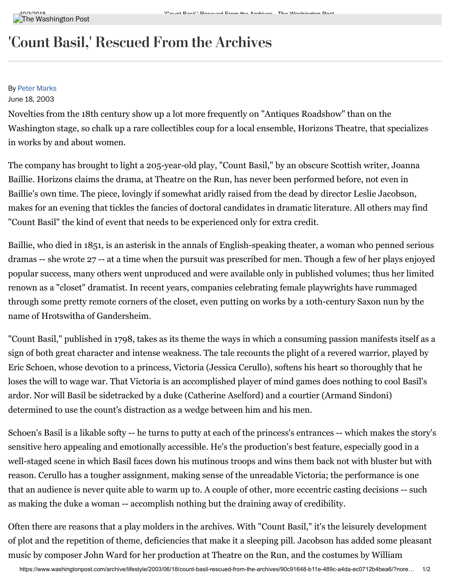## 'Count Basil, ' Rescued From the Archives

#### By Peter [Marks](https://www.washingtonpost.com/people/peter-marks/)

#### June 18, 2003

Novelties from the 18th century show up a lot more frequently on "Antiques Roadshow" than on the Washington stage, so chalk up a rare collectibles coup for a local ensemble, Horizons Theatre, that specializes in works by and about women.

The company has brought to light a 205-year-old play, "Count Basil," by an obscure Scottish writer, Joanna Baillie. Horizons claims the drama, at Theatre on the Run, has never been performed before, not even in Baillie's own time. The piece, lovingly if somewhat aridly raised from the dead by director Leslie Jacobson, makes for an evening that tickles the fancies of doctoral candidates in dramatic literature. All others may find "Count Basil" the kind of event that needs to be experienced only for extra credit.

Baillie, who died in 1851, is an asterisk in the annals of English-speaking theater, a woman who penned serious dramas -- she wrote 27 -- at a time when the pursuit was prescribed for men. Though a few of her plays enjoyed popular success, many others went unproduced and were available only in published volumes; thus her limited renown as a "closet" dramatist. In recent years, companies celebrating female playwrights have rummaged through some pretty remote corners of the closet, even putting on works by a 10th-century Saxon nun by the name of Hrotswitha of Gandersheim.

"Count Basil," published in 1798, takes as its theme the ways in which a consuming passion manifests itself as a sign of both great character and intense weakness. The tale recounts the plight of a revered warrior, played by Eric Schoen, whose devotion to a princess, Victoria (Jessica Cerullo), softens his heart so thoroughly that he loses the will to wage war. That Victoria is an accomplished player of mind games does nothing to cool Basil's ardor. Nor will Basil be sidetracked by a duke (Catherine Aselford) and a courtier (Armand Sindoni) determined to use the count's distraction as a wedge between him and his men.

Schoen's Basil is a likable softy -- he turns to putty at each of the princess's entrances -- which makes the story's sensitive hero appealing and emotionally accessible. He's the production's best feature, especially good in a well-staged scene in which Basil faces down his mutinous troops and wins them back not with bluster but with reason. Cerullo has a tougher assignment, making sense of the unreadable Victoria; the performance is one that an audience is never quite able to warm up to. A couple of other, more eccentric casting decisions -- such as making the duke a woman -- accomplish nothing but the draining away of credibility.

Often there are reasons that a play molders in the archives. With "Count Basil," it's the leisurely development of plot and the repetition of theme, deficiencies that make it a sleeping pill. Jacobson has added some pleasant music by composer John Ward for her production at Theatre on the Run, and the costumes by William